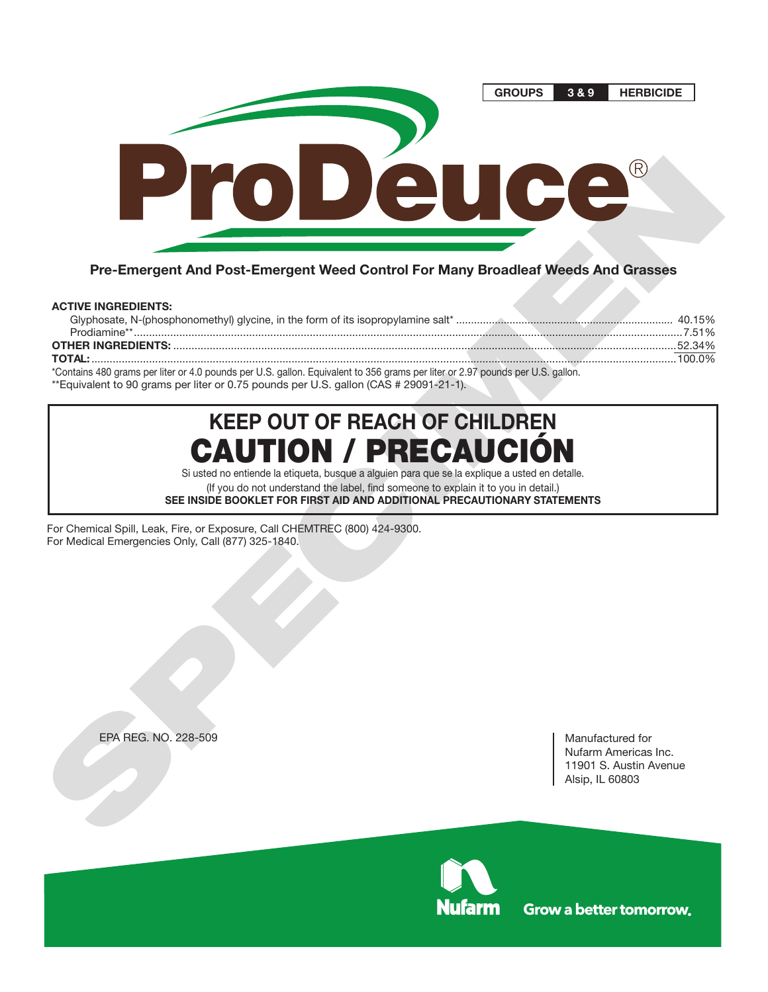

**Pre-Emergent And Post-Emergent Weed Control For Many Broadleaf Weeds And Grasses**

### **ACTIVE INGREDIENTS:**

| $\sim$ 52.34%                                                                                                                  |        |
|--------------------------------------------------------------------------------------------------------------------------------|--------|
| TOTAL:                                                                                                                         | 100 0% |
| *Contains 480 grams per liter or 4.0 pounds per U.S. gallon. Equivalent to 356 grams per liter or 2.97 pounds per U.S. gallon. |        |

\*\*Equivalent to 90 grams per liter or 0.75 pounds per U.S. gallon (CAS # 29091-21-1).

# **KEEP OUT OF REACH OF CHILDREN** CAUTION / PRECAUCIÓN

Si usted no entiende la etiqueta, busque a alguien para que se la explique a usted en detalle. (If you do not understand the label, find someone to explain it to you in detail.) **SEE INSIDE BOOKLET FOR FIRST AID AND ADDITIONAL PRECAUTIONARY STATEMENTS**

For Chemical Spill, Leak, Fire, or Exposure, Call CHEMTREC (800) 424-9300. For Medical Emergencies Only, Call (877) 325-1840.

EPA REG. NO. 228-509 Manufactured for

Nufarm Americas Inc. 11901 S. Austin Avenue Alsip, IL 60803

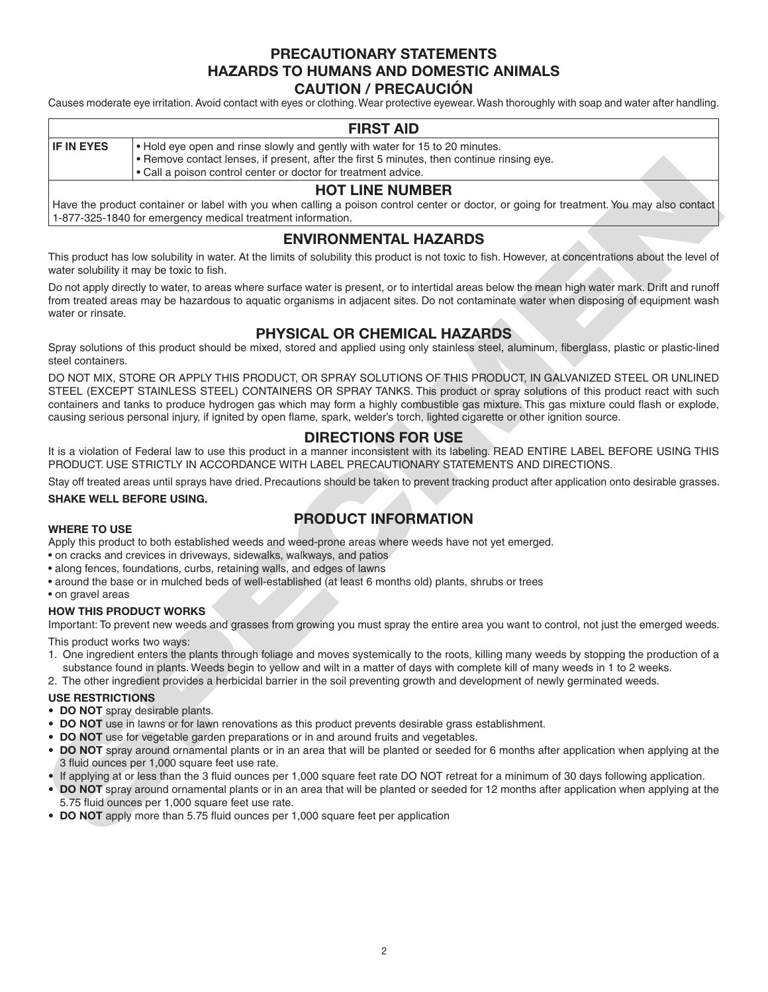## **PRECAUTIONARY STATEMENTS HAZARDS TO HUMANS AND DOMESTIC ANIMALS CAUTION / PRECAUCIÓN**

Causes moderate eye irritation. Avoid contact with eyes or clothing. Wear protective eyewear. Wash thoroughly with soap and water after handling.

## **FIRST AID**

| <b>IF IN EYES</b> | • Hold eye open and rinse slowly and gently with water for 15 to 20 minutes.<br>• Remove contact lenses, if present, after the first 5 minutes, then continue rinsing eye.<br>• Call a poison control center or doctor for treatment advice. |  |
|-------------------|----------------------------------------------------------------------------------------------------------------------------------------------------------------------------------------------------------------------------------------------|--|
|                   |                                                                                                                                                                                                                                              |  |

## **HOT LINE NUMBER**

Have the product container or label with you when calling a poison control center or doctor, or going for treatment. You may also contact 1-877-325-1840 for emergency medical treatment information.

## **ENVIRONMENTAL HAZARDS**

This product has low solubility in water. At the limits of solubility this product is not toxic to fish. However, at concentrations about the level of water solubility it may be toxic to fish.

Do not apply directly to water, to areas where surface water is present, or to intertidal areas below the mean high water mark. Drift and runoff from treated areas may be hazardous to aquatic organisms in adjacent sites. Do not contaminate water when disposing of equipment wash water or rinsate.

## **PHYSICAL OR CHEMICAL HAZARDS**

Spray solutions of this product should be mixed, stored and applied using only stainless steel, aluminum, fiberglass, plastic or plastic -lined steel containers.

From control between the main specifical and the mainstantine the mainstantine method of the main specifical and the main specifical and the main specifical and the main specifical and the main specifical and the main spec DO NOT MIX, STORE OR APPLY THIS PRODUCT, OR SPRAY SOLUTIONS OF THIS PRODUCT, IN GALVANIZED STEEL OR UNLINED STEEL (EXCEPT STAINLESS STEEL) CONTAINERS OR SPRAY TANKS. This product or spray solutions of this product react with such containers and tanks to produce hydrogen gas which may form a highly combustible gas mixture. This gas mixture could flash or explode, causing serious personal injury, if ignited by open flame, spark, welder's torch, lighted cigarette or other ignition source.

# **DIRECTIONS FOR USE**

It is a violation of Federal law to use this product in a manner inconsistent with its labeling. READ ENTIRE LABEL BEFORE USING THIS PRODUCT. USE STRICTLY IN ACCORDANCE WITH LABEL PRECAUTIONARY STATEMENTS AND DIRECTIONS.

Stay off treated areas until sprays have dried. Precautions should be taken to prevent tracking product after application onto desirable grasses. **SHAKE WELL BEFORE USING.** 

# **PRODUCT INFORMATION**

#### **WHERE TO USE**

Apply this product to both established weeds and weed- prone areas where weeds have not yet emerged.

- on cracks and crevices in driveways, sidewalks, walkways, and patios
- along fences, foundations, curbs, retaining walls, and edges of lawns
- around the base or in mulched beds of well -established (at least 6 months old) plants, shrubs or trees
- on gravel areas

#### **HOW THIS PRODUCT WORKS**

Important: To prevent new weeds and grasses from growing you must spray the entire area you want to control, not just the emerged weeds.

This product works two ways:

- 1. One ingredient enters the plants through foliage and moves systemically to the roots, killing many weeds by stopping the production of a substance found in plants. Weeds begin to yellow and wilt in a matter of days with complete kill of many weeds in 1 to 2 weeks.
- 2. The other ingredient provides a herbicidal barrier in the soil preventing growth and development of newly germinated weeds.

#### **USE RESTRICTIONS**

- **DO NOT** spray desirable plants.
- **DO NOT** use in lawns or for lawn renovations as this product prevents desirable grass establishment.
- **DO NOT** use for vegetable garden preparations or in and around fruits and vegetables.
- **• DO NOT** spray around ornamental plants or in an area that will be planted or seeded for 6 months after application when applying at the 3 fluid ounces per 1,000 square feet use rate.
- **•** If applying at or less than the 3 fluid ounces per 1,000 square feet rate DO NOT retreat for a minimum of 30 days following application.
- **• DO NOT** spray around ornamental plants or in an area that will be planted or seeded for 12 months after application when applying at the 5.75 fluid ounces per 1,000 square feet use rate.
- **DO NOT** apply more than 5.75 fluid ounces per 1,000 square feet per application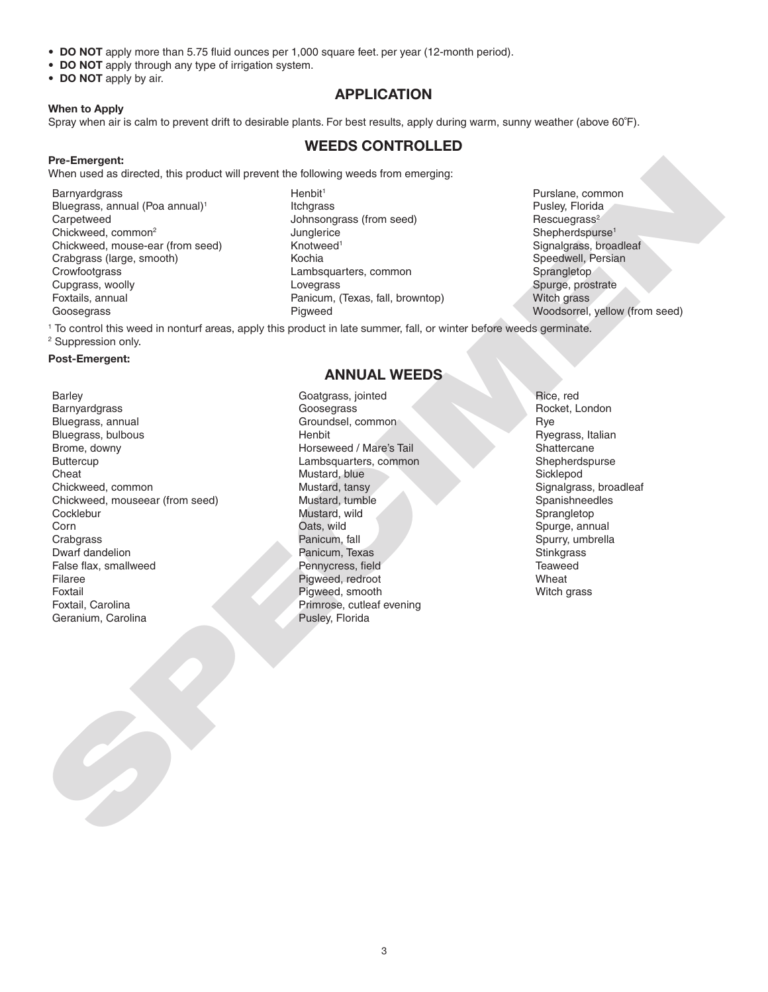- DO NOT apply more than 5.75 fluid ounces per 1,000 square feet. per year (12-month period).
- **DO NOT** apply through any type of irrigation system.
- **DO NOT** apply by air.

#### **APPLICATION**

#### **When to Apply**

Spray when air is calm to prevent drift to desirable plants. For best results, apply during warm, sunny weather (above 60˚F).

## **WEEDS CONTROLLED**

#### **Pre-Emergent:**

When used as directed, this product will prevent the following weeds from emerging:

- Barnyardgrass Bluegrass, annual (Poa annual)<sup>1</sup> **Carpetweed** Chickweed, common2 Chickweed, mouse-ear (from seed) Crabgrass (large, smooth) **Crowfootgrass** Cupgrass, woolly Foxtails, annual Goosegrass
- Henbit<sup>1</sup> Itchgrass Johnsongrass (from seed) **Junglerice** Knotweed<sup>1</sup> Kochia Lambsquarters, common Lovegrass Panicum, (Texas, fall, browntop) Pigweed
- Purslane, common Pusley, Florida Rescuegrass<sup>2</sup> Shepherdspurse<sup>1</sup> Signalgrass, broadleaf Speedwell, Persian Sprangletop Spurge, prostrate Witch grass Woodsorrel, yellow (from seed)

<sup>1</sup> To control this weed in nonturf areas, apply this product in late summer, fall, or winter before weeds germinate.

2 Suppression only.

#### **Post-Emergent:**

Pre-Emergent:<br>
When used at divelocid, the product oil prevent the following weeds from energing.<br>
Monitor according to the control of the control of the control of the control of the control of the control of<br>
Control of **Barley Barnyardgrass** Bluegrass, annual Bluegrass, bulbous Brome, downy **Buttercup** Cheat Chickweed, common Chickweed, mouseear (from seed) **Cocklebur** Corn **Crabgrass** Dwarf dandelion False flax, smallweed Filaree Foxtail Foxtail, Carolina Geranium, Carolina

### **ANNUAL WEEDS**

Goatgrass, jointed Goosegrass Groundsel, common Henbit Horseweed / Mare's Tail Lambsquarters, common Mustard, blue Mustard, tansy Mustard, tumble Mustard, wild Oats, wild Panicum, fall Panicum, Texas Pennycress, field Pigweed, redroot Pigweed, smooth Primrose, cutleaf evening Pusley, Florida

Rice, red Rocket, London Rye Ryegrass, Italian **Shattercane** Shepherdspurse Sicklepod Signalgrass, broadleaf Spanishneedles Sprangletop Spurge, annual Spurry, umbrella **Stinkgrass** Teaweed Wheat Witch grass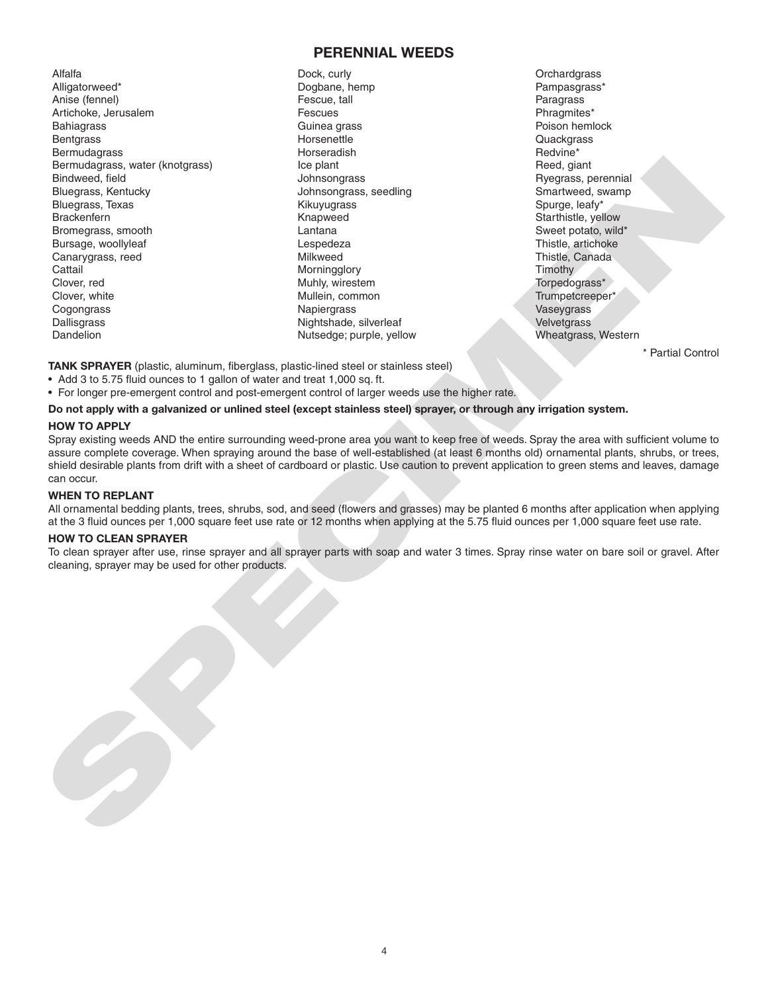### **PERENNIAL WEEDS**

Alfalfa Alligatorweed\* Anise (fennel) Artichoke, Jerusalem **Bahiagrass Bentgrass** Bermudagrass Bermudagrass, water (knotgrass) Bindweed, field Bluegrass, Kentucky Bluegrass, Texas **Brackenfern** Bromegrass, smooth Bursage, woollyleaf Canarygrass, reed **Cattail** Clover, red Clover, white Cogongrass Dallisgrass Dandelion

Dock, curly Dogbane, hemp Fescue, tall Fescues Guinea grass Horsenettle Horseradish Ice plant Johnsongrass Johnsongrass, seedling Kikuyugrass Knapweed Lantana Lespedeza Milkweed Morningglory Muhly, wirestem Mullein, common **Napiergrass** Nightshade, silverleaf Nutsedge; purple, yellow **Orchardgrass** Pampasgrass\* **Paragrass** Phragmites\* Poison hemlock **Quackgrass** Redvine\* Reed, giant Ryegrass, perennial Smartweed, swamp Spurge, leafy\* Starthistle, yellow Sweet potato, wild\* Thistle, artichoke Thistle, Canada **Timothy** Torpedograss\* Trumpetcreeper\* Vaseygrass **Velvetgrass** Wheatgrass, Western

\* Partial Control

**TANK SPRAYER** (plastic, aluminum, fiberglass, plastic-lined steel or stainless steel)

• Add 3 to 5.75 fluid ounces to 1 gallon of water and treat 1,000 sq. ft.

• For longer pre-emergent control and post-emergent control of larger weeds use the higher rate.

#### **Do not apply with a galvanized or unlined steel (except stainless steel) sprayer, or through any irrigation system.**

#### **HOW TO APPLY**

Beneficial text procedures and the company of the state of the specifical state of the specifical state of the specifical state of the specifical state of the specifical state of the specifical state of the specifical stat Spray existing weeds AND the entire surrounding weed-prone area you want to keep free of weeds. Spray the area with sufficient volume to assure complete coverage. When spraying around the base of well-established (at least 6 months old) ornamental plants, shrubs, or trees, shield desirable plants from drift with a sheet of cardboard or plastic. Use caution to prevent application to green stems and leaves, damage can occur.

#### **WHEN TO REPLANT**

All ornamental bedding plants, trees, shrubs, sod, and seed (flowers and grasses) may be planted 6 months after application when applying at the 3 fluid ounces per 1,000 square feet use rate or 12 months when applying at the 5.75 fluid ounces per 1,000 square feet use rate.

#### **HOW TO CLEAN SPRAYER**

To clean sprayer after use, rinse sprayer and all sprayer parts with soap and water 3 times. Spray rinse water on bare soil or gravel. After cleaning, sprayer may be used for other products.